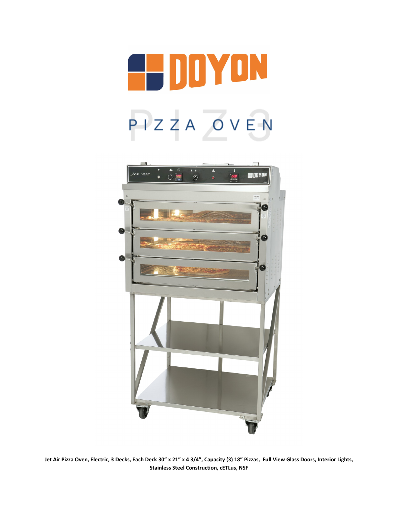



**Jet Air Pizza Oven, Electric, 3 Decks, Each Deck 30" x 21" x 4 3/4", Capacity (3) 18" Pizzas, Full View Glass Doors, Interior Lights, Stainless Steel Construction, cETLus, NSF**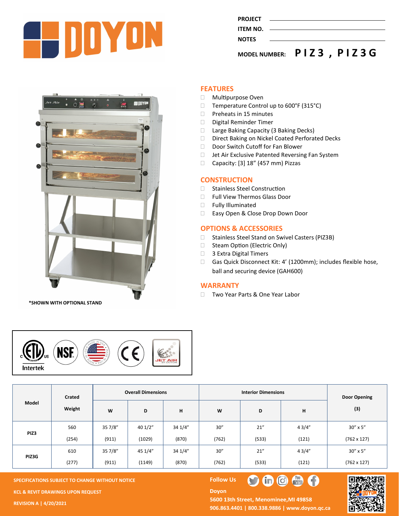

| <b>MODEL NUMBER:</b> | PIZ3, PIZ3G |
|----------------------|-------------|
| <b>NOTES</b>         |             |
| ITEM NO.             |             |
|                      |             |
| <b>PROJECT</b>       |             |
|                      |             |



**\*SHOWN WITH OPTIONAL STAND**

## **FEATURES**

- Multipurpose Oven
- □ Temperature Control up to 600°F (315°C)
- $\Box$  Preheats in 15 minutes
- Digital Reminder Timer
- □ Large Baking Capacity (3 Baking Decks)
- D Direct Baking on Nickel Coated Perforated Decks
- Door Switch Cutoff for Fan Blower
- □ Jet Air Exclusive Patented Reversing Fan System
- $\Box$  Capacity: [3] 18" (457 mm) Pizzas

### **CONSTRUCTION**

- □ Stainless Steel Construction
- Full View Thermos Glass Door
- **Fully Illuminated**
- □ Easy Open & Close Drop Down Door

#### **OPTIONS & ACCESSORIES**

- □ Stainless Steel Stand on Swivel Casters (PIZ3B)
- □ Steam Option (Electric Only)
- □ 3 Extra Digital Timers
- □ Gas Quick Disconnect Kit: 4' (1200mm); includes flexible hose, ball and securing device (GAH600)

#### **WARRANTY**

□ Two Year Parts & One Year Labor



| Model | <b>Crated</b><br>Weight |         | <b>Overall Dimensions</b> |         |       | <b>Door Opening</b> |       |                    |
|-------|-------------------------|---------|---------------------------|---------|-------|---------------------|-------|--------------------|
|       |                         | W       | D                         | н       | W     | D                   | н     | (3)                |
| PIZ3  | 560                     | 357/8"  | 40 1/2"                   | 34 1/4" | 30''  | 21''                | 43/4" | $30'' \times 5''$  |
|       | (254)                   | (911)   | (1029)                    | (870)   | (762) | (533)               | (121) | $(762 \times 127)$ |
| PIZ3G | 610                     | 35 7/8" | 45 1/4"                   | 34 1/4" | 30''  | 21''                | 43/4" | $30'' \times 5''$  |
|       | (277)                   | (911)   | (1149)                    | (870)   | (762) | (533)               | (121) | $(762 \times 127)$ |

**Doyon** 

**SPECIFICATIONS SUBJECT TO CHANGE WITHOUT NOTICE FOLLOW US KCL & REVIT DRAWINGS UPON REQUEST** 

**REVISION A | 4/20/2021**

5600 13th Street, Menominee, MI 49858 **906.863.4401 | 800.338.9886 | [www.doyon.qc.ca](http://www.doyon.qc.ca/)**

 $\blacksquare$ 

 $\bigoplus$   $\bigoplus$   $\bigoplus$